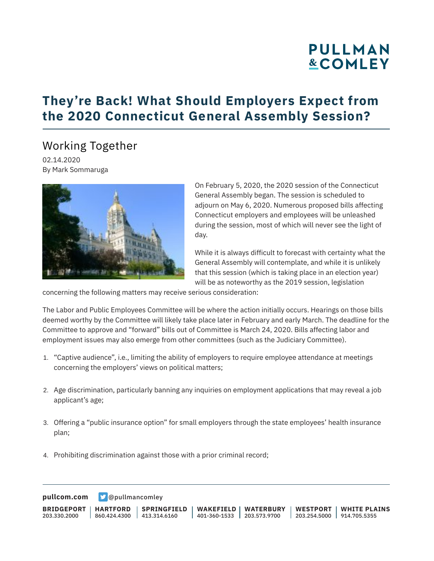# **PULLMAN &COMLEY**

## **They're Back! What Should Employers Expect from the 2020 Connecticut General Assembly Session?**

### Working Together

02.14.2020 By Mark Sommaruga



On February 5, 2020, the 2020 session of the Connecticut General Assembly began. The session is scheduled to adjourn on May 6, 2020. Numerous proposed bills affecting Connecticut employers and employees will be unleashed during the session, most of which will never see the light of day.

While it is always difficult to forecast with certainty what the General Assembly will contemplate, and while it is unlikely that this session (which is taking place in an election year) will be as noteworthy as the 2019 session, legislation

concerning the following matters may receive serious consideration:

The Labor and Public Employees Committee will be where the action initially occurs. Hearings on those bills deemed worthy by the Committee will likely take place later in February and early March. The deadline for the Committee to approve and "forward" bills out of Committee is March 24, 2020. Bills affecting labor and employment issues may also emerge from other committees (such as the Judiciary Committee).

- 1. "Captive audience", i.e., limiting the ability of employers to require employee attendance at meetings concerning the employers' views on political matters;
- 2. Age discrimination, particularly banning any inquiries on employment applications that may reveal a job applicant's age;
- 3. Offering a "public insurance option" for small employers through the state employees' health insurance plan;
- 4. Prohibiting discrimination against those with a prior criminal record;

**[pullcom.com](https://www.pullcom.com) g** [@pullmancomley](https://twitter.com/PullmanComley)

**BRIDGEPORT** 203.330.2000 **HARTFORD** 860.424.4300 **SPRINGFIELD** 413.314.6160 **WAKEFIELD** 401-360-1533 **WATERBURY** 203.573.9700 **WESTPORT** 203.254.5000 914.705.5355 **WHITE PLAINS**